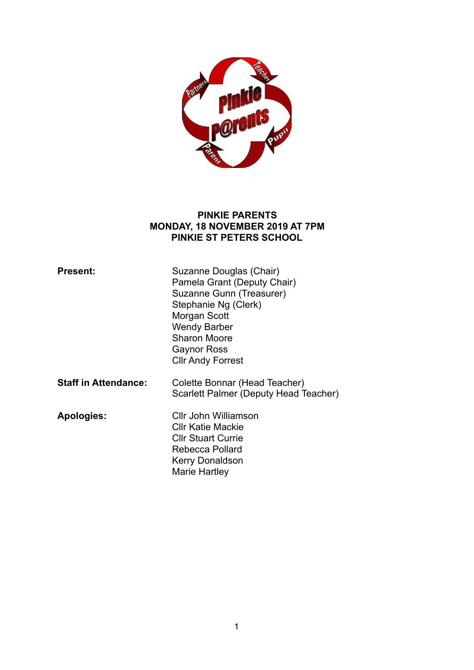

#### **PINKIE PARENTS MONDAY, 18 NOVEMBER 2019 AT 7PM PINKIE ST PETERS SCHOOL**

| <b>Present:</b>             | Suzanne Douglas (Chair)<br>Pamela Grant (Deputy Chair)<br>Suzanne Gunn (Treasurer)<br>Stephanie Ng (Clerk)<br>Morgan Scott<br><b>Wendy Barber</b><br><b>Sharon Moore</b><br><b>Gaynor Ross</b><br><b>CIIr Andy Forrest</b> |
|-----------------------------|----------------------------------------------------------------------------------------------------------------------------------------------------------------------------------------------------------------------------|
| <b>Staff in Attendance:</b> | Colette Bonnar (Head Teacher)<br>Scarlett Palmer (Deputy Head Teacher)                                                                                                                                                     |
| <b>Apologies:</b>           | Cllr John Williamson<br>Cllr Katie Mackie<br><b>CIIr Stuart Currie</b><br>Rebecca Pollard<br>Kerry Donaldson<br>Marie Hartley                                                                                              |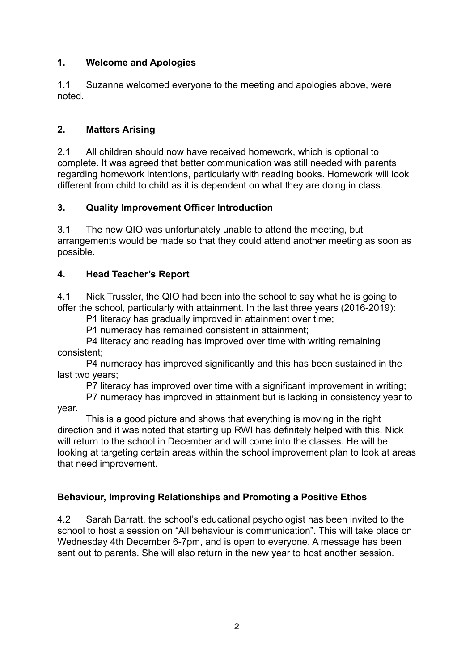## **1. Welcome and Apologies**

1.1 Suzanne welcomed everyone to the meeting and apologies above, were noted.

## **2. Matters Arising**

2.1 All children should now have received homework, which is optional to complete. It was agreed that better communication was still needed with parents regarding homework intentions, particularly with reading books. Homework will look different from child to child as it is dependent on what they are doing in class.

## **3. Quality Improvement Officer Introduction**

3.1 The new QIO was unfortunately unable to attend the meeting, but arrangements would be made so that they could attend another meeting as soon as possible.

## **4. Head Teacher's Report**

4.1 Nick Trussler, the QIO had been into the school to say what he is going to offer the school, particularly with attainment. In the last three years (2016-2019):

P1 literacy has gradually improved in attainment over time;

P1 numeracy has remained consistent in attainment;

 P4 literacy and reading has improved over time with writing remaining consistent;

 P4 numeracy has improved significantly and this has been sustained in the last two years;

P7 literacy has improved over time with a significant improvement in writing;

 P7 numeracy has improved in attainment but is lacking in consistency year to year.

 This is a good picture and shows that everything is moving in the right direction and it was noted that starting up RWI has definitely helped with this. Nick will return to the school in December and will come into the classes. He will be looking at targeting certain areas within the school improvement plan to look at areas that need improvement.

# **Behaviour, Improving Relationships and Promoting a Positive Ethos**

4.2 Sarah Barratt, the school's educational psychologist has been invited to the school to host a session on "All behaviour is communication". This will take place on Wednesday 4th December 6-7pm, and is open to everyone. A message has been sent out to parents. She will also return in the new year to host another session.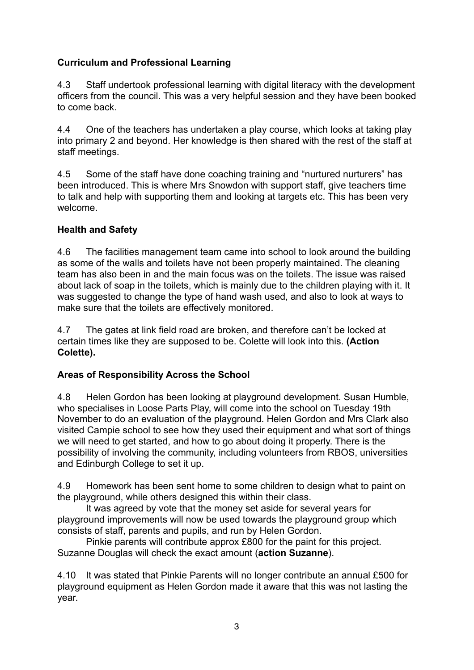## **Curriculum and Professional Learning**

4.3 Staff undertook professional learning with digital literacy with the development officers from the council. This was a very helpful session and they have been booked to come back.

4.4 One of the teachers has undertaken a play course, which looks at taking play into primary 2 and beyond. Her knowledge is then shared with the rest of the staff at staff meetings.

4.5 Some of the staff have done coaching training and "nurtured nurturers" has been introduced. This is where Mrs Snowdon with support staff, give teachers time to talk and help with supporting them and looking at targets etc. This has been very welcome.

## **Health and Safety**

4.6 The facilities management team came into school to look around the building as some of the walls and toilets have not been properly maintained. The cleaning team has also been in and the main focus was on the toilets. The issue was raised about lack of soap in the toilets, which is mainly due to the children playing with it. It was suggested to change the type of hand wash used, and also to look at ways to make sure that the toilets are effectively monitored.

4.7 The gates at link field road are broken, and therefore can't be locked at certain times like they are supposed to be. Colette will look into this. **(Action Colette).** 

## **Areas of Responsibility Across the School**

4.8 Helen Gordon has been looking at playground development. Susan Humble, who specialises in Loose Parts Play, will come into the school on Tuesday 19th November to do an evaluation of the playground. Helen Gordon and Mrs Clark also visited Campie school to see how they used their equipment and what sort of things we will need to get started, and how to go about doing it properly. There is the possibility of involving the community, including volunteers from RBOS, universities and Edinburgh College to set it up.

4.9 Homework has been sent home to some children to design what to paint on the playground, while others designed this within their class.

 It was agreed by vote that the money set aside for several years for playground improvements will now be used towards the playground group which consists of staff, parents and pupils, and run by Helen Gordon.

 Pinkie parents will contribute approx £800 for the paint for this project. Suzanne Douglas will check the exact amount (**action Suzanne**).

4.10 It was stated that Pinkie Parents will no longer contribute an annual £500 for playground equipment as Helen Gordon made it aware that this was not lasting the year.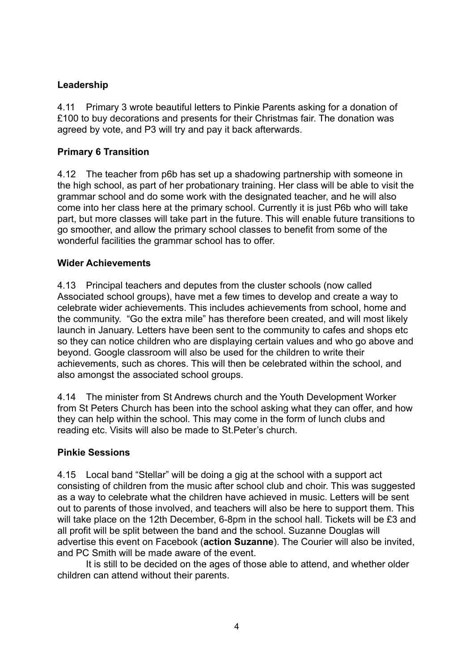## **Leadership**

4.11 Primary 3 wrote beautiful letters to Pinkie Parents asking for a donation of £100 to buy decorations and presents for their Christmas fair. The donation was agreed by vote, and P3 will try and pay it back afterwards.

### **Primary 6 Transition**

4.12 The teacher from p6b has set up a shadowing partnership with someone in the high school, as part of her probationary training. Her class will be able to visit the grammar school and do some work with the designated teacher, and he will also come into her class here at the primary school. Currently it is just P6b who will take part, but more classes will take part in the future. This will enable future transitions to go smoother, and allow the primary school classes to benefit from some of the wonderful facilities the grammar school has to offer.

### **Wider Achievements**

4.13 Principal teachers and deputes from the cluster schools (now called Associated school groups), have met a few times to develop and create a way to celebrate wider achievements. This includes achievements from school, home and the community. "Go the extra mile" has therefore been created, and will most likely launch in January. Letters have been sent to the community to cafes and shops etc so they can notice children who are displaying certain values and who go above and beyond. Google classroom will also be used for the children to write their achievements, such as chores. This will then be celebrated within the school, and also amongst the associated school groups.

4.14 The minister from St Andrews church and the Youth Development Worker from St Peters Church has been into the school asking what they can offer, and how they can help within the school. This may come in the form of lunch clubs and reading etc. Visits will also be made to St.Peter's church.

### **Pinkie Sessions**

4.15 Local band "Stellar" will be doing a gig at the school with a support act consisting of children from the music after school club and choir. This was suggested as a way to celebrate what the children have achieved in music. Letters will be sent out to parents of those involved, and teachers will also be here to support them. This will take place on the 12th December, 6-8pm in the school hall. Tickets will be £3 and all profit will be split between the band and the school. Suzanne Douglas will advertise this event on Facebook (**action Suzanne**). The Courier will also be invited, and PC Smith will be made aware of the event.

 It is still to be decided on the ages of those able to attend, and whether older children can attend without their parents.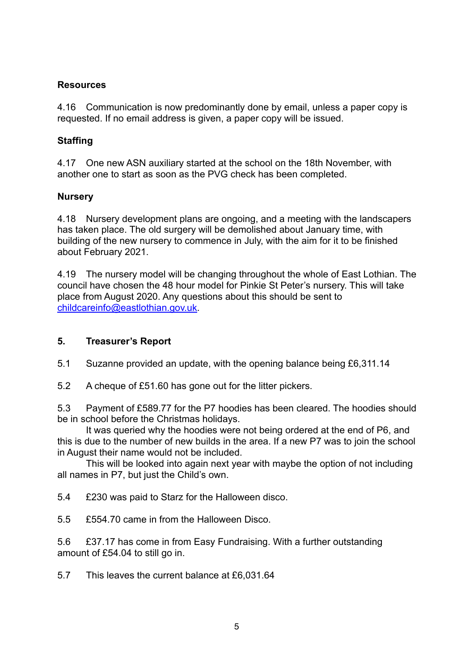### **Resources**

4.16 Communication is now predominantly done by email, unless a paper copy is requested. If no email address is given, a paper copy will be issued.

## **Staffing**

4.17 One new ASN auxiliary started at the school on the 18th November, with another one to start as soon as the PVG check has been completed.

### **Nursery**

4.18 Nursery development plans are ongoing, and a meeting with the landscapers has taken place. The old surgery will be demolished about January time, with building of the new nursery to commence in July, with the aim for it to be finished about February 2021.

4.19 The nursery model will be changing throughout the whole of East Lothian. The council have chosen the 48 hour model for Pinkie St Peter's nursery. This will take place from August 2020. Any questions about this should be sent to [childcareinfo@eastlothian.gov.uk](mailto:childcareinfo@eastlothian.gov.uk).

### **5. Treasurer's Report**

5.1 Suzanne provided an update, with the opening balance being £6,311.14

5.2 A cheque of £51.60 has gone out for the litter pickers.

5.3 Payment of £589.77 for the P7 hoodies has been cleared. The hoodies should be in school before the Christmas holidays.

 It was queried why the hoodies were not being ordered at the end of P6, and this is due to the number of new builds in the area. If a new P7 was to join the school in August their name would not be included.

 This will be looked into again next year with maybe the option of not including all names in P7, but just the Child's own.

5.4 £230 was paid to Starz for the Halloween disco.

5.5 £554.70 came in from the Halloween Disco.

5.6 £37.17 has come in from Easy Fundraising. With a further outstanding amount of £54.04 to still go in.

5.7 This leaves the current balance at £6,031.64